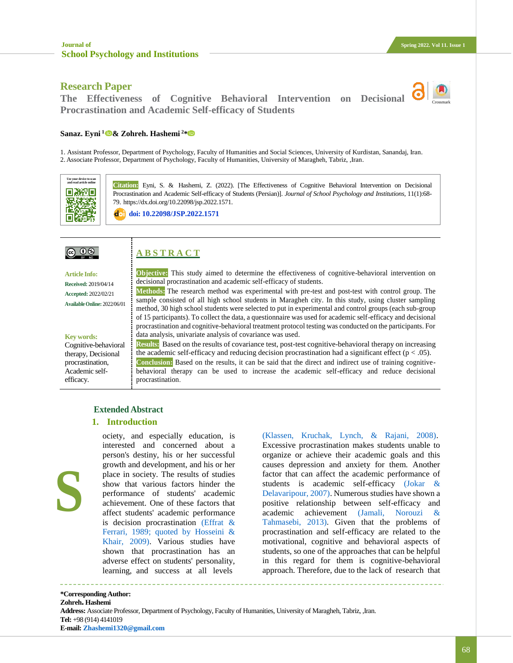Crossmark

## **Research Paper**

**The Effectiveness of Cognitive Behavioral Intervention on Decisional Procrastination and Academic Self-efficacy of Students**



1. Assistant Professor, Department of Psychology, Faculty of Humanities and Social Sciences, University of Kurdistan, Sanandaj, Iran. 2. Associate Professor, Department of Psychology, Faculty of Humanities, University of Maragheh, Tabriz, ,Iran.



**Citation:** Eyni, S. & Hashemi, Z. (2022). [The Effectiveness of Cognitive Behavioral Intervention on Decisional Procrastination and Academic Self-efficacy of Students (Persian)]. *Journal of School Psychology and Institutions,* 11(1):68- 79. https://dx.doi.org/10.22098/jsp.2022.1571.

**doi: [10.22098/JSP.2022.1571](http://jsp.uma.ac.ir/article_1571.html?lang=en)**

## <u>@ 00 </u>

# **A B S T R A C T**

**Article Info: Received:** 2019/04/14 **Accepted:** 2022/02/21 **AvailableOnline:** 2022/06/01

**Key words:**

**S**

Cognitive-behavioral therapy, Decisional procrastination, Academic selfefficacy.

**Objective:** This study aimed to determine the effectiveness of cognitive-behavioral intervention on decisional procrastination and academic self-efficacy of students.

**Methods:** The research method was experimental with pre-test and post-test with control group. The sample consisted of all high school students in Maragheh city. In this study, using cluster sampling method, 30 high school students were selected to put in experimental and control groups (each sub-group of 15 participants). To collect the data, a questionnaire was used for academic self-efficacy and decisional procrastination and cognitive-behavioral treatment protocol testing was conducted on the participants. For data analysis, univariate analysis of covariance was used.

**Results:** Based on the results of covariance test, post-test cognitive-behavioral therapy on increasing the academic self-efficacy and reducing decision procrastination had a significant effect ( $p < .05$ ). **Conclusion:** Based on the results, it can be said that the direct and indirect use of training cognitivebehavioral therapy can be used to increase the academic self-efficacy and reduce decisional procrastination.

## **Extended Abstract**

#### **1. Introduction**

interested and concerned about a person's destiny, his or her successful growth and development, and his or her place in society. The results of studies show that various factors hinder the performance of students' academic achievement. One of these factors that affect students' academic performance is decision procrastination [\(Effrat &](#page-10-0)  [Ferrari, 1989;](#page-10-0) [quoted by Hosseini &](#page-10-1)  [Khair, 2009\).](#page-10-1) Various studies have shown that procrastination has an adverse effect on students' personality, learning, and success at all levels

ociety, and especially education, is

[\(Klassen, Kruchak, Lynch, & Rajani, 2008\).](#page-10-2) Excessive procrastination makes students unable to organize or achieve their academic goals and this causes depression and anxiety for them. Another factor that can affect the academic performance of students is academic self-efficacy [\(Jokar &](#page-10-3)  [Delavaripour, 2007\).](#page-10-3) Numerous studies have shown a positive relationship between self-efficacy and academic achievement [\(Jamali, Norouzi &](#page-10-4)  [Tahmasebi, 2013\).](#page-10-4) Given that the problems of procrastination and self-efficacy are related to the motivational, cognitive and behavioral aspects of students, so one of the approaches that can be helpful in this regard for them is cognitive-behavioral approach. Therefore, due to the lack of research that

**\*Corresponding Author: Zohreh. Hashemi Address:** Associate Professor, Department of Psychology, Faculty of Humanities, University of Maragheh, Tabriz, ,Iran. **Tel:** +98 (914) 4141019 **E-mail: [Zhashemi1320@gmail.com](mailto:Zhashemi1320@gmail.com)**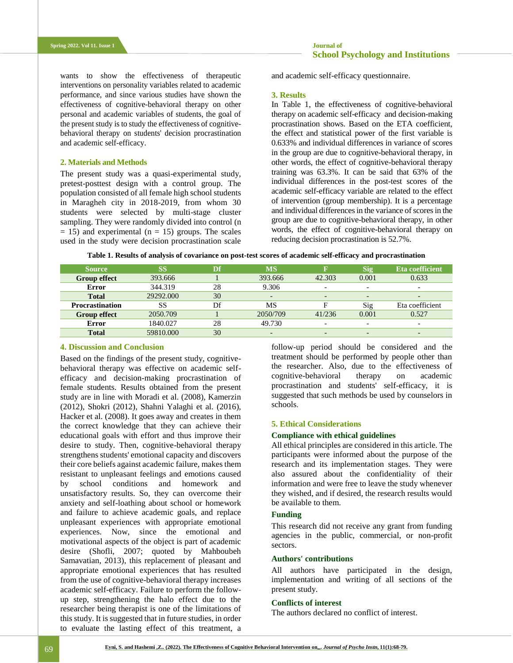wants to show the effectiveness of therapeutic interventions on personality variables related to academic performance, and since various studies have shown the effectiveness of cognitive-behavioral therapy on other personal and academic variables of students, the goal of the present study is to study the effectiveness of cognitivebehavioral therapy on students' decision procrastination and academic self-efficacy.

#### **2. Materials and Methods**

The present study was a quasi-experimental study, pretest-posttest design with a control group. The population consisted of all female high school students in Maragheh city in 2018-2019, from whom 30 students were selected by multi-stage cluster sampling. They were randomly divided into control (n  $= 15$ ) and experimental (n  $= 15$ ) groups. The scales used in the study were decision procrastination scale and academic self-efficacy questionnaire.

#### **3. Results**

In Table 1, the effectiveness of cognitive-behavioral therapy on academic self-efficacy and decision-making procrastination shows. Based on the ETA coefficient, the effect and statistical power of the first variable is 0.633% and individual differences in variance of scores in the group are due to cognitive-behavioral therapy, in other words, the effect of cognitive-behavioral therapy training was 63.3%. It can be said that 63% of the individual differences in the post-test scores of the academic self-efficacy variable are related to the effect of intervention (group membership). It is a percentage and individual differences in the variance of scores in the group are due to cognitive-behavioral therapy, in other words, the effect of cognitive-behavioral therapy on reducing decision procrastination is 52.7%.

|  | Table 1. Results of analysis of covariance on post-test scores of academic self-efficacy and procrastination |  |  |
|--|--------------------------------------------------------------------------------------------------------------|--|--|
|  |                                                                                                              |  |  |

| <b>Source</b>          | SS        | Df | <b>MS</b>                | R                        | <b>Sig</b>               | Eta coefficient |
|------------------------|-----------|----|--------------------------|--------------------------|--------------------------|-----------------|
| <b>Group effect</b>    | 393.666   |    | 393.666                  | 42.303                   | 0.001                    | 0.633           |
| Error                  | 344.319   | 28 | 9.306                    | $\overline{\phantom{0}}$ | $\overline{\phantom{0}}$ | -               |
| <b>Total</b>           | 29292.000 | 30 |                          | -                        | -                        |                 |
| <b>Procrastination</b> | SS        | Df | MS                       | F                        | $\mathrm{Sig}$           | Eta coefficient |
| <b>Group effect</b>    | 2050.709  |    | 2050/709                 | 41/236                   | 0.001                    | 0.527           |
| Error                  | 1840.027  | 28 | 49.730                   | $\overline{\phantom{a}}$ | $\overline{\phantom{0}}$ | -               |
| <b>Total</b>           | 59810.000 | 30 | $\overline{\phantom{0}}$ | -                        | $\overline{\phantom{0}}$ | -               |

#### **4. Discussion and Conclusion**

Based on the findings of the present study, cognitivebehavioral therapy was effective on academic selfefficacy and decision-making procrastination of female students. Results obtained from the present study are in line with Moradi et al. (2008), Kamerzin (2012), Shokri (2012), Shahni Yalaghi et al. (2016), Hacker et al. (2008). It goes away and creates in them the correct knowledge that they can achieve their educational goals with effort and thus improve their desire to study. Then, cognitive-behavioral therapy strengthens students' emotional capacity and discovers their core beliefs against academic failure, makes them resistant to unpleasant feelings and emotions caused by school conditions and homework and unsatisfactory results. So, they can overcome their anxiety and self-loathing about school or homework and failure to achieve academic goals, and replace unpleasant experiences with appropriate emotional experiences. Now, since the emotional and motivational aspects of the object is part of academic desire (Shofli, 2007; quoted by Mahboubeh Samavatian, 2013), this replacement of pleasant and appropriate emotional experiences that has resulted from the use of cognitive-behavioral therapy increases academic self-efficacy. Failure to perform the followup step, strengthening the halo effect due to the researcher being therapist is one of the limitations of this study. It is suggested that in future studies, in order to evaluate the lasting effect of this treatment, a

follow-up period should be considered and the treatment should be performed by people other than the researcher. Also, due to the effectiveness of cognitive-behavioral therapy on academic procrastination and students' self-efficacy, it is suggested that such methods be used by counselors in schools.

#### **5. Ethical Considerations**

#### **Compliance with ethical guidelines**

All ethical principles are considered in this article. The participants were informed about the purpose of the research and its implementation stages. They were also assured about the confidentiality of their information and were free to leave the study whenever they wished, and if desired, the research results would be available to them.

## **Funding**

This research did not receive any grant from funding agencies in the public, commercial, or non-profit sectors.

#### **Authors' contributions**

All authors have participated in the design, implementation and writing of all sections of the present study.

### **Conflicts of interest**

The authors declared no conflict of interest.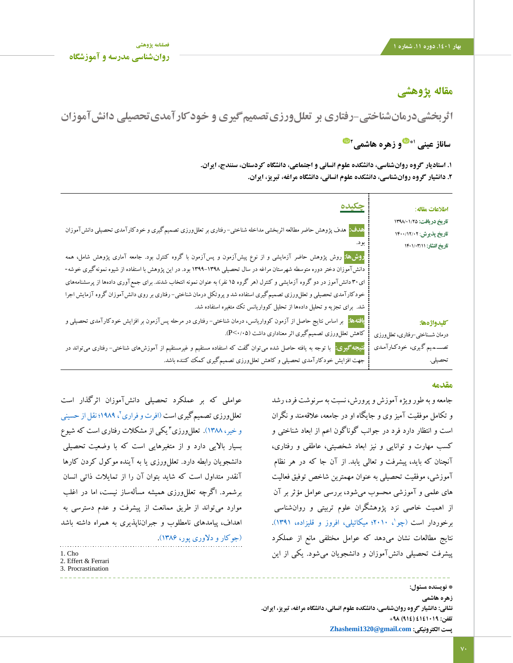## **مقاله پژوهشی**

**اثربخشیدرمانشناختی-رفتاری بر تعللورزیتصمیمگیری و خودکارآمدیتحصیلی دانشآموزان**

**و زهره هاشمی 1\* ساناز عینی 2**

**.1 استادیار گروه روانشناسی، دانشکده علوم انسانی و اجتماعی، دانشگاه کردستان، سنندج، ایران. .2 دانشیار گروه روانشناسی، دانشکده علوم انسانی، دانشگاه مراغه، تبریز، ایران.**

| <u> جکیده</u>                                                                                                                       | اطلاعات مقاله:                  |
|-------------------------------------------------------------------------------------------------------------------------------------|---------------------------------|
|                                                                                                                                     | تاريخ دريافت: ١٣٩٨/٠١/٢٥        |
| هدف: <mark>همدف پژوهش حاضر مطالعه اثربخشی مداخله شناختی</mark> – رفتاری بر تعللeورزی تصمیم گیری و خودکارآمدی تحصیلی دانش آموزان     | تاریخ پذیرش: ۱۴۰۰/۱۲/۰۲         |
|                                                                                                                                     | تاريخ انتشار: ١٤٠١/٠٣/١         |
| <mark>روشها:</mark> روش پژوهش حاضر آزمایشی و از نوع پیشآزمون و پسآزمون با گروه کنترل بود. جامعه آماری پژوهش شامل، همه               |                                 |
| دانشآموزان دختر دوره متوسطه شهرستان مراغه در سال تحصیلی ۱۳۹۸–۱۳۹۹ بود. در این پژوهش با استفاده از شیوه نمونه گیری خوشه-             |                                 |
| ای ۳۰ دانشآموز در دو گروه آزمایشی و کنترل (هر گروه ۱۵ نفر) به عنوان نمونه انتخاب شدند. برای جمعآوری دادهها از پرسشنامههای           |                                 |
| خودکارآمدی تحصیلی و تعلل(وزی تصمیم گیری استفاده شد و پروتکل درمان شناختی- رفتاری بر روی دانش آموزان گروه آزمایش اجرا                |                                 |
| شد. برای تجزیه و تحلیل دادهها از تحلیل کوواریانس تک متغیره استفاده شد.                                                              |                                 |
| <mark>بافتهها:</mark> بر اساس نتایج حاصل از آزمون کوواریانس، درمان شناختی- رفتاری در مرحله پسآزمون بر افزایش خودکارآمدی تحصیلی و    | كليدواژهها:                     |
| کاهش تعللوورزی تصمیم گیری اثر معناداری داشت (P<۰/۰۵).                                                                               | درمان شــناختي-رفتاري، تعللورزي |
| <mark>نتیجه گیری:</mark> با توجه به یافته حاصل شده می توان گفت که استفاده مستقیم و غیرمستقیم از آموزشهای شناختی- رفتاری می تواند در | تصــــمميم گـيري، خودكـارآمـدي  |
| جهت افزایش خودکارآمدی تحصیلی و کاهش تعلل(رزی تصمیمگیری کمک کننده باشد.                                                              | تحصيلي.                         |

## **مقدمه**

جامعه و به طور ویژه آموزش و پرورش، نسبت به سرنوشت فرد، رشد و تکامل موفقیت آمیز وی و جایگاه او در جامعه، عالقهمند و نگران است و انتظار دارد فرد در جوانب گوناگون اعم از ابعاد شناختی و کسب مهارت و توانایی و نیز ابعاد شخصیتی، عاطفی و رفتاری، آنچنان که باید، پیشرفت و تعالی یابد. از آن جا که در هر نظام آموزشی، موفقیت تحصیلی به عنوان مهمترین شاخص توفیق فعالیت های علمی و آموزشی محسوب میشود، بررسی عوامل مؤثر بر آن از اهمیت خاصی نزد پژوهشگران علوم تربیتی و روانشناسی برخوردار است (چو $\langle$ ، ۲۰۱۰؛ میکائیلی، افروز و قلیزاده، ۱۳۹۱). نتایج مطالعات نشان میدهد که عوامل مختلفی مانع از عملکرد پیشرفت تحصیلی دانشآموزان و دانشجویان میشود. یکی از این

عواملی که بر عملکرد تحصیلی دانشآموزان اثرگذار است 2 تعللورزی تصمیمگیری اس[ت \)افرت و فراری](#page-10-0) ، 1989؛ [نقل از حسینی](#page-9-1)  و خیر، ۱۳۸۸). تعللeرزی" یکی از مشکلات رفتاری است که شیوع بسیار باالیی دارد و از متغیرهایی است که با وضعیت تحصیلی دانشجویان رابطه دارد. تعللورزی یا به آینده موکول کردن کارها آنقدر متداول است که شاید بتوان آن را از تمایالت ذاتی انسان برشمرد. اگرچه تعللورزی همیشه مسألهساز نیست، اما در اغلب موارد میتواند از طریق ممانعت از پیشرفت و عدم دسترسی به اهداف، پیامدهای نامطلوب و جبرانناپذیری به همراه داشته باشد

[\)جوکار و دالوری پور، 1386\(.](#page-9-2)  1. Cho 2. Effert & Ferrari

3. Procrastination

**\* نویسنده مسئول: زهره هاشمی نشانی: دانشیار گروه روانشناسی، دانشکده علوم انسانی، دانشگاه مراغه، تبریز، ایران. تلفن: 4141019 )914( +98 [Zhashemi1320@gmail.com](mailto:Zhashemi1320@gmail.com) :الکترونیکی پست**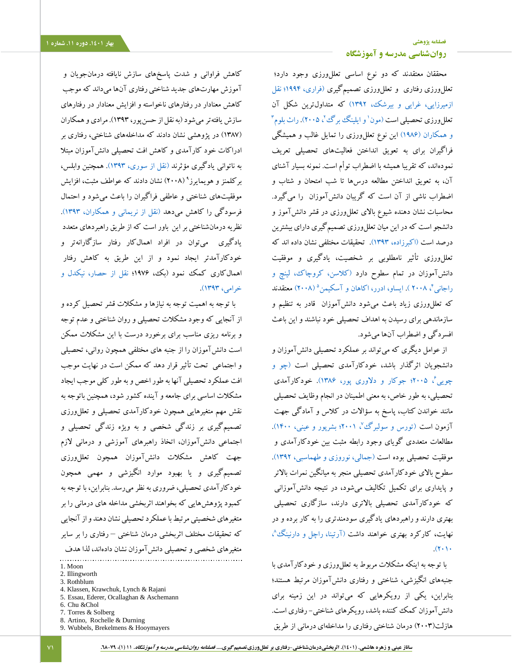## **[فصلنامه پژوهشی](http://jsp.uma.ac.ir/) بهار .1401 دوره .11 شماره 1 [روانشناسی مدرسه و آموزشگاه](http://jsp.uma.ac.ir/)**

محققان معتقدند که دو نوع اساسی تعللورزی وجود دارد؛ تعللورزی رفتاریو تعللورزی تصمیمگیر[ی](#page-10-0) [\)فراری، 1994؛](#page-10-0) [نقل](#page-9-3)  [ازمیرزایی، غرایی و بیرشک، 1392\(](#page-9-3) که متداولترین شکل آن تعللeورزی تحصیلی است (مون' [و ایلینگ برگ](#page-10-6)<sup>ی ت</sup>ا ۲۰۰۵). [راث بلوم](#page-11-0) <sup>۳</sup> و همکاران (۱۹۸۶) این نوع تعلل(رزی را تمایل غالب و همیشگی فراگیران برای به تعویق انداختن فعالیتهای تحصیلی تعریف نمودهاند، که تقریبا همیشه با اضطراب توأم است. نمونه بسیار آشنای آن، به تعویق انداختن مطالعه درسها تا شب امتحان و شتاب و اضطراب ناشی از آن است که گریبان دانشآموزان را میگیرد. محاسبات نشان دهنده شیوع باالی تعللورزی در قشر دانشآموز و دانشجو است که در این میان تعلل ورزی تصمیمگیری دارای بیشترین درصد است [\)اکبرزاده، 1393\(.](#page-9-4) تحقیقات مختلفی نشان داده اند که تعللورزی تأثیر نامطلوبی بر شخصیت، یادگیری و موفقیت دانشآموزان در تمام سطوح دارد [\)کالسن، کروچاک، لینچ و](#page-10-2)  راجانی<sup>۴</sup>، ۲۰۰۸). [ایساو، ادرر، اکاهان و آسکیمن](#page-10-7)<sup>۵</sup> (۲۰۰۸) معتق<mark>دند</mark> که تعللورزی زیاد باعث میشود دانشآموزان قادر به تنظیم و سازماندهی برای رسیدن به اهداف تحصیلی خود نباشند و این باعث افسردگی و اضطراب آنها میشود.

از عوامل دیگری که میتواند بر عملکرد تحصیلی دانشآموزان و دانشجویان اثرگذار باشد، خودکارآمدی تحصیلی است [\)چو و](#page-10-5)  چویی [، 2005؛](#page-10-5) [جوکار و دالوری پور، 1386\(.](#page-9-2) خودکارآمدی <sup>6</sup> تحصیلی، به طور خاص، به معنی اطمینان در انجام وظایف تحصیلی مانند خواندن کتاب، پاسخ به سؤاالت در کالس و آمادگی جهت آزمون اس[ت](#page-11-1) (تورس و سولبرگ<sup>ی»</sup>، ۲۰۰۱؛ بشرپور و عینی، ۱۴۰۰). مطالعات متعددی گویای وجود رابطه مثبت بین خودکارآمدی و موفقیت تحصیلی بوده است [\)جمالی، نوروزی و طهماسبی، 1392\(.](#page-9-6)  سطوح باالی خودکارآمدی تحصیلی منجر به میانگین نمرات باالتر و پایداری برای تکمیل تکالیف میشود، در نتیجه دانشآموزانی که خودکارآمدی تحصیلی باالتری دارند، سازگاری تحصیلی بهتری دارند وراهبردهای یادگیری سودمندتری را به کار برده و در نهایت، کارکرد بهتری خواهند داشت (آرتینا، راچل و دارنینگ<sup>یم</sup>،  $(2 \cdot)$ 

با توجه به اینکه مشکالت مربوط به تعللورزی و خودکارآمدی با جنبههای انگیزشی، شناختی و رفتاری دانشآموزان مرتبط هستند؛ بنابراین، یکی از رویکرهایی که میتواند در این زمینه برای دانشآموزان کمک کننده باشد، رویکرهای شناختی- رفتاری است. هازلت)2003( درمان شناختی رفتاری را مداخلهای درمانی از طریق

کاهش فراوانی و شدت پاسخهای سازش نایافته درمانجویان و آموزش مهارتهای جدید شناختی رفتاری آنها میداند که موجب کاهش معنادار در رفتارهای ناخواسته و افزایش معنادار در رفتارهای سازش یافتهترمیشود)به نقل از حسنپور، 1393(. مرادیو همکاران )1387( در پژوهشی نشان دادند که مداخلههای شناختی، رفتاری بر ادراکات خود کارآمدی و کاهش افت تحصیلی دانشآموزان مبتال به ناتوانی یادگیری مؤثرند [\)نقل از سوری، 1393\(.](#page-9-7) همچنین وابلس، برکلمنز و هویمایرز<sup>۹</sup> (۲۰۰۸) نشان دادند که عواطف مثبت، افزایش موفقیتهای شناختی و عاطفی فراگیران را باعث میشود و احتمال فرسودگی را کاهش میدهد [\)نقل از نریمانی و همکاران، 1393\(.](#page-9-8) نظریه درمانشناختی بر این باور است که از طریق راهبردهای متعدد یادگیری میتوان در افراد اهمالکار رفتار سازگارانهتر و خودکارآمدتر ایجاد نمود و از این طریق به کاهش رفتار اهمالکاری کمک نمود )بک، 1976؛ [نقل از حصار، نیکدل و](#page-9-9)  [خرامی، 1393\(.](#page-9-9) 

با توجه به اهمیت توجه به نیازها و مشکالت قشر تحصیل کرده و از آنجایی که وجود مشکالت تحصیلی و روان شناختی و عدم توجه و برنامه ریزی مناسب برای برخورد درست با این مشکالت ممکن است دانشآموزان را از جنبه های مختلفی همچون روانی، تحصیلی و اجتماعی تحت تأثیر قرار دهد که ممکن است در نهایت موجب افت عملکرد تحصیلی آنها به طور اخص و به طور کلی موجب ایجاد مشکالت اساسی برای جامعه و آینده کشور شود، همچنین باتوجه به نقش مهم متغیرهایی همچون خودکارآمدی تحصیلی و تعللورزی تصمیمگیری بر زندگی شخصی و به ویژه زندگی تحصیلی و اجتماعی دانشآموزان، اتخاذ راهبرهای آموزشی و درمانی الزم جهت کاهش مشکالت دانشآموزان همچون تعللورزی تصمیمگیری و یا بهبود موارد انگیزشی و مهمی همچون خودکارآمدی تحصیلی، ضروری به نظر میرسد. بنابراین، با توجه به کمبود پژوهشهایی که بخواهند اثربخشی مداخله های درمانی را بر متغیرهای شخصیتی مرتبط با عملکرد تحصیلی نشان دهند و از آنجایی که تحقیقات مختلف اثربخشی درمان شناختی – رفتاری را بر سایر متغیرهای شخصی و تحصیلی دانشآموزان نشان دادهاند، لذا هدف

- 4. Klassen, Krawchuk, Lynch & Rajani
- 5. Essau, Ederer, Ocallaghan & Aschemann

8. Artino, Rochelle & Durning 9. Wubbels, Brekelmens & Hooymayers

<sup>1.</sup> Moon

<sup>2.</sup> Illingworth

<sup>3.</sup> Rothblum

<sup>6.</sup> Chu &Chol

<sup>7.</sup> Torres & Solberg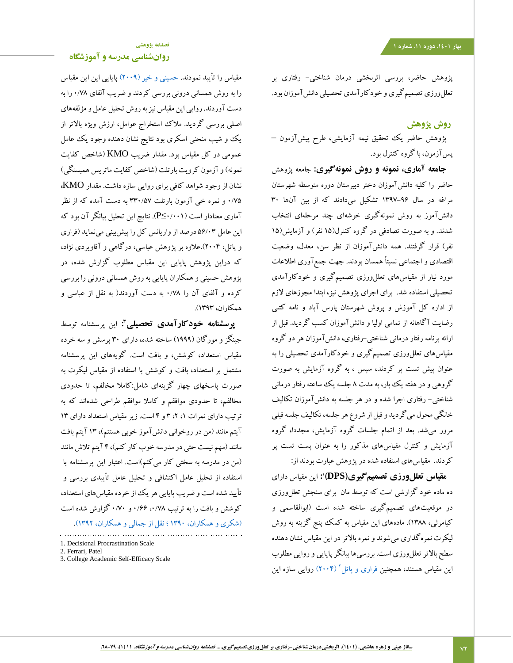**[روانشناسی مدرسه و آموزشگاه](http://jsp.uma.ac.ir/)**

پژوهش حاضر، بررسی اثربخشی درمان شناختی- رفتاری بر تعللورزی تصمیمگیری و خودکارآمدی تحصیلی دانشآموزان بود.

## **روش پژوهش**

پژوهش حاضر یک تحقیق نیمه آزمایشی، طرح پیشآزمون – پسآزمون، با گروه کنترل بود.

**جامعه آماری، نمونه و روش نمونهگیری:** جامعه پژوهش حاضر را کلیه دانشآموزان دختر دبیرستان دوره متوسطه شهرستان مراغه در سال 1397-96 تشکیل میدادند که از بین آنها 30 دانشآموز به روش نمونهگیری خوشهای چند مرحلهای انتخاب شدند. و به صورت تصادفی در گروه کنترل)15 نفر( و آزمایش)15 نفر) قرار گرفتند. همه دانشآموزان از نظر سن، معدل، وضعیت اقتصادی و اجتماعی نسبتاً همسان بودند. جهت جمعآوری اطالعات مورد نیار از مقیاسهای تعللورزی تصمیمگیری و خودکارآمدی تحصیلی استفاده شد. برای اجرای پژوهش نیز، ابتدا مجوزهای الزم از اداره کل آموزش و پروش شهرستان پارس آباد و نامه کتبی رضایت آگاهانه از تمامی اولیا و دانشآموزان کسب گردید. قبل از ارائه برنامه رفتار درمانی شناختی-رفتاری، دانشآموزان هر دو گروه مقیاسهای تعللورزی تصمیمگیری و خودکارآمدی تحصیلی را به عنوان پیش تست پر کردند، سپس ، به گروه آزمایش به صورت گروهی و در هفته یک بار، به مدت 8 جلسه یک ساعته رفتار درمانی شناختی- رفتاری اجرا شده و در هر جلسه به دانشآموزان تکالیف خانگی محول میگردید و قبل از شروع هر جلسه، تکالیف جلسه قبلی مرور میشد. بعد از اتمام جلسات گروه آزمایش، مجددا، گروه آزمایش و کنترل مقیاسهای مذکور را به عنوان پست تست پر کردند. مقیاسهای استفاده شده در پژوهش عبارت بودند از:

1 **مقیاس تعللورزی تصمیمگیری)DPS) :** این مقیاس دارای ده ماده خود گزارشی است که توسط مان برای سنجش تعللورزی در موقعیتهای تصمیمگیری ساخته شده است )ابوالقاسمی و کیامرثی، 1388(. مادههای این مقیاس به کمک پنج گزینه به روش لیکرت نمرهگذاری میشوند و نمره باالتر در این مقیاس نشان دهنده سطح بالاتر تعلل ورزی است. بررسی ها بیانگر پایایی و روایی مطلوب این مقیاس هستند، همچنین [فراری و پاتل](#page-10-0)<sup>۲</sup> (۲۰۰۴) روایی سازه این

مقیاس را تأیید نمودند. [حسینی و خیر \)2009\(](#page-9-1) پایایی این این مقیاس را به روش همسانی درونی بررسی کردند و ضریب آلفای 0/78 را به دست آوردند. روایی این مقیاس نیز به روش تحلیل عامل و مؤلفههای اصلی بررسی گردید. مالک استخراج عوامل، ارزش ویژه باالتر از یک و شیب منحنی اسکری بود نتایج نشان دهنده وجود یک عامل عمومی در کل مقیاس بود. مقدار ضریب KMO( شاخص کفایت نمونه) و آزمون کرویت بارتلت (شاخص کفایت ماتریس همبستگی) نشان از وجود شواهد کافی برای روایی سازه داشت. مقدار KMO**،** 0/75 و نمره خی آزمون بارتلت 330/57 به دست آمده که از نظر آماری معنادار است )0/001≤P). نتایج این تحلیل بیانگر آن بود که این عامل 56/03 درصد از واریانس کل را پیشبینی مینماید )فراری و پاتل، 2004(.عالوه بر پژوهش عباسی، درگاهی و آقاویردی نژاد، که دراین پژوهش پایایی این مقیاس مطلوب گزارش شده، در پژوهش حسینی و همکاران پایایی به روش همسانی درونی را بررسی کرده و آلفای آن را 0/78 به دست آوردند) به نقل از عباسی و همکاران، 1393(.

**3 پرسشنامه خودکارآمدی تحصیلی :** این پرسشنامه توسط جینگز و مورگان )1999( ساخته شده، دارای 30 پرسش و سه خرده مقیاس استعداد، کوشش، و بافت است. گویههای این پرسشنامه مشتمل بر استعداد، بافت و کوشش با استفاده از مقیاس لیکرت به صورت پاسخهای چهار گزینهای شامل:کامال مخالفم، تا حدودی مخالفم، تا حدودی موافقم و کامال موافقم طراحی شدهاند که به ترتیب دارای نمرات ،1 ،2 3 و 4 است. زیر مقیاس استعداد دارای 13 آیتم مانند )من در روخوانی دانشآموز خوبی هستتم(، 13 آیتم بافت مانند (مهم نیست حتی در مدرسه خوب کار کنم)، ۴ آیتم تلاش مانند )من در مدرسه به سختی کار میکنم(است. اعتبار این پرسشنامه با استفاده از تحلیل عامل اکتشافی و تحلیل عامل تأییدی بررسی و تأیید شده است و ضریب پایایی هر یک از خرده مقیاسهای استعداد، کوشش و بافت را به ترتیب ،0/78 0/66 و 0/70 گزارش شده است [\)شکری و همکاران، 1390](#page-9-10) ؛ [نقل از جمالی و همکاران، 1392\(.](#page-9-6) 

- 2. Ferrari, Patel
- 3. College Academic Self-Efficacy Scale

<sup>1.</sup> Decisional Procrastination Scale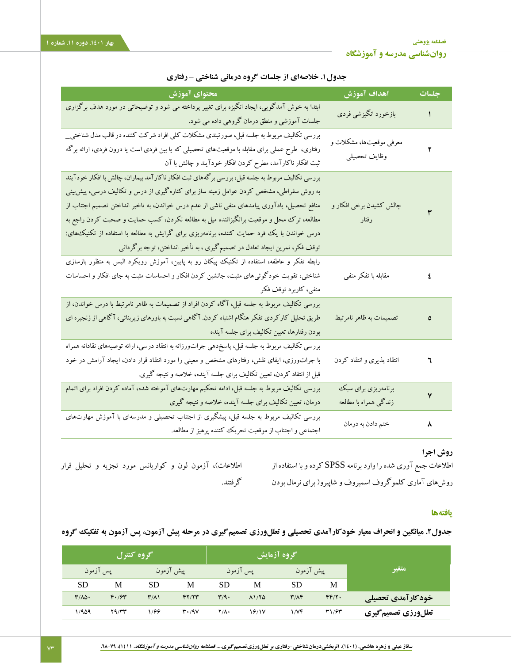| محتواي آموزش                                                                                                                                                                                                                                                                                                                                                                                                                                                                                                                                                     | اهداف آموزش                                  | جلسات |
|------------------------------------------------------------------------------------------------------------------------------------------------------------------------------------------------------------------------------------------------------------------------------------------------------------------------------------------------------------------------------------------------------------------------------------------------------------------------------------------------------------------------------------------------------------------|----------------------------------------------|-------|
| ابتدا به خوش آمدگویی، ایجاد انگیزه برای تغییر پرداخته می شود و توضیحاتی در مورد هدف برگزاری<br>جلسات آموزشی و منطق درمان گروهی داده می شود.                                                                                                                                                                                                                                                                                                                                                                                                                      | بازخورد انگیزشی فردی                         |       |
| بررسی تکالیف مربوط به جلسه قبل، صورتبندی مشکلات کلی افراد شرکت کننده در قالب مدل شناختی_<br>رفتاری، طرح عملی برای مقابله با موقعیتهای تحصیلی که یا بین فردی است یا درون فردی، ارائه برگه<br>ثبت افکار ناکارآمد، مطرح کردن افکار خودآیند و چالش با آن                                                                                                                                                                                                                                                                                                             | معرفی موقعیتها، مشکلات و<br>وظايف تحصيلي     |       |
| بررسی تکالیف مربوط به جلسه قبل، بررسی برگههای ثبت افکار ناکارآمد بیماران، چالش با افکار خودآیند<br>به روش سقراطی، مشخص کردن عوامل زمینه ساز برای کنارهگیری از درس و تکالیف درسی، پیش بینی<br>منافع تحصیل، یادآوری پیامدهای منفی ناشی از عدم درس خواندن، به تاخیر انداختن تصمیم اجتناب از<br>مطالعه، ترک محل و موقعیت برانگیزاننده میل به مطالعه نکردن، کسب حمایت و صحبت کردن راجع به<br>درس خواندن با یک فرد حمایت کننده، برنامهریزی برای گرایش به مطالعه با استفاده از تکنیک&ی):<br>توقف فکر، تمرین ایجاد تعادل در تصمیم گیری ، به تأخیر انداختن، توجه برگردانی | چالش کشیدن برخی افکار و<br>رفتار             |       |
| رابطه تفکر و عاطفه، استفاده از تکنیک پیکان رو به پایین، آموزش رویکرد الیس به منظور بازسازی<br>شناختی، تقویت خودگوئی۵های مثبت، جانشین کردن افکار و احساسات مثبت به جای افکار و احساسات<br>منفي، كاربرد توقف فكر                                                                                                                                                                                                                                                                                                                                                   | مقابله با تفكر منفى                          | ٤     |
| بررسی تکالیف مربوط به جلسه قبل، آگاه کردن افراد از تصمیمات به ظاهر نامرتبط با درس خواندن، از<br>طریق تحلیل کارکردی تفکر هنگام اشتباه کردن. آگاهی نسبت به باورهای زیربنائی، آگاهی از زنجیره ای<br>بودن رفتارها، تعیین تکالیف برای جلسه آینده                                                                                                                                                                                                                                                                                                                      | تصمیمات به ظاهر نامرتبط                      | ٥     |
| بررسی تکالیف مربوط به جلسه قبل، پاسخدهی جراتورزانه به انتقاد درسی، ارائه توصیههای نقادانه همراه<br>با جرات <code>ورزی، ایفای نقش، رفتارهای مشخص و معینی را مورد انتقاد قرار دادن، ایجاد آرامش در خود</code><br>قبل از انتقاد کردن، تعیین تکالیف برای جلسه آینده، خلاصه و نتیجه گیری.                                                                                                                                                                                                                                                                             | انتقاد پذیری و انتقاد کردن                   | ٦     |
| بررسی تکالیف مربوط به جلسه قبل، ادامه تحکیم مهارتهای آموخته شده، آماده کردن افراد برای اتمام<br>درمان، تعیین تکالیف برای جلسه آینده، خلاصه و نتیجه گیری                                                                                                                                                                                                                                                                                                                                                                                                          | برنامهریزی برای سبک<br>زندگی همراه با مطالعه | ٧     |
| بررسی تکالیف مربوط به جلسه قبل، پیشگیری از اجتناب تحصیلی و مدرسهای با آموزش مهارتهای<br>اجتماعی و اجتناب از موقعیت تحریک کننده پرهیز از مطالعه.                                                                                                                                                                                                                                                                                                                                                                                                                  | ختم دادن به درمان                            | ٨     |

**جدول.1 خالصهای از جلسات گروه درمانی شناختی – رفتاری**

## **روش اجرا**

اطلاعات جمع آوری شده را وارد برنامه SPSS کرده و با استفاده از اطلاعات)، آزمون لون و کواریانس مورد تجزیه و تحلیل قرار روشهای آماری کلموگروف اسمیروف و شاپیرو) برای نرمال بودن گرفتند.

## **یافتهها**

**جدول.2 میانگین و انحراف معیار خودکارآمدی تحصیلی و تعللورزی تصمیمگیری در مرحله پیش آزمون، پس آزمون به تفکیک گروه**

|                     | گروه آزمایش |             |                |                           | گروه کنترل |                      |              |                                   |  |
|---------------------|-------------|-------------|----------------|---------------------------|------------|----------------------|--------------|-----------------------------------|--|
| متغير               |             | پیش آزمون   | پس آزمون       |                           | پیش آزمون  |                      |              | اپس آزمون                         |  |
|                     | M           | SD          | M              | <b>SD</b>                 | М          | <b>SD</b>            | М            | <b>SD</b>                         |  |
| أخودكارآمدي تحصيلي  | FF/Y.       | $T/\Lambda$ | $\lambda$ 1/٢۵ | $\mathbf{r}/\mathbf{q}$ . | YY/Y       | $\mathsf{r}(\wedge)$ | F.794        | $\mathbf{r}/\mathbf{A}\mathbf{r}$ |  |
| تعللورزي تصميم گيري | 31/64       | ۱/۷۴        | 18/17          | ۲/۸۰                      | 4.4V       | 1/66                 | <b>79/۳۳</b> | ۱٬۹۵۹                             |  |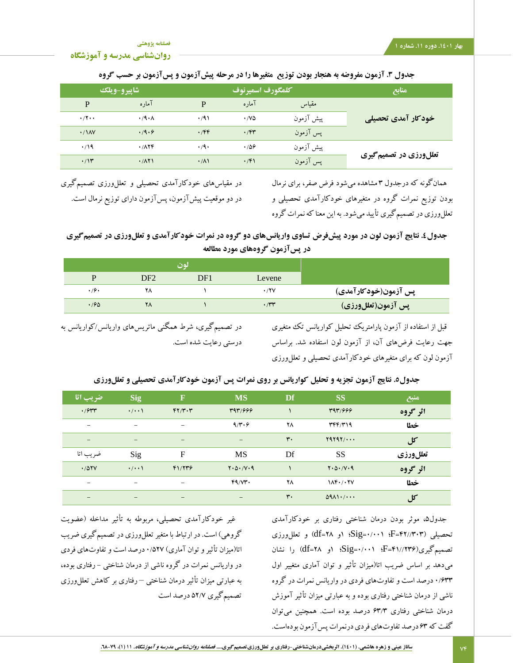**[فصلنامه پژوهشی](http://jsp.uma.ac.ir/)**

**[روانشناسی مدرسه و آموزشگاه](http://jsp.uma.ac.ir/)**

## **جدول .3 آزمون مفروضه به هنجار بودن توزیع متغیرها را در مرحله پیشآزمون و پسآزمون بر حسب گروه**

| منابع                  |           | كلمگورف اسميرنوف | شاپيرو-ويلك        |                    |                            |
|------------------------|-----------|------------------|--------------------|--------------------|----------------------------|
|                        | مقياس     | آماره            | D                  | آماره              | P                          |
| خودکار آمدی تحصیلی     | پیش آزمون | $\cdot$ /VQ      | .791               | $\cdot$ /9 $\cdot$ | $\cdot$ /۲ $\cdot$ $\cdot$ |
|                        | پس آزمون  | $\cdot$ /۴۳      | .799               | .4.9               | $\cdot$ / $\lambda$ Y      |
|                        | پیش آزمون | .789             | $\cdot$ /9 $\cdot$ | .787               | $\cdot$ /19                |
| تعللورزي در تصميم گيري | پس آزمون  | $\cdot$ /۴۱      | $\cdot/\lambda$    | .71                | $\cdot$ /۱۳                |

همانگونه که درجدول 3 مشاهده میشود فرض صفر، برای نرمال بودن توزیع نمرات گروه در متغیرهای خودکارآمدی تحصیلی و تعللورزی در تصمیمگیریتأیید میشود. به این معنا که نمرات گروه

در مقیاسهای خودکارآمدی تحصیلی و تعللورزی تصمیمگیری در دو موقعیت پیشآزمون، پسآزمون دارای توزیع نرمال است.

**جدول.4 نتایج آزمون لون در مورد پیشفرض تساوی واریانسهای دو گروه در نمرات خودکارآمدی و تعللورزی در تصمیمگیری در پسآزمون گروههای مورد مطالعه**

|                      |        | نون |                 |      |
|----------------------|--------|-----|-----------------|------|
|                      | Levene | DF1 | DF <sub>2</sub> |      |
| پس آزمون(خودکارآمدی) | ۰/۲۷   |     | ۲۸              | ۰٬۶۰ |
| ّپس آزمون(تعللورزی)  | ۳۳۰.   |     | ۲۸              | .76  |

قبل از استفاده از آزمون پارامتریک تحلیل کواریانس تک متغیری جهت رعایت فرضهای آن، از آزمون لون استفاده شد. براساس آزمون لون که برای متغیرهای خودکارآمدی تحصیلی و تعللورزی

در تصمیمگیری، شرط همگنی ماتریسهای واریانس/کواریانس به درستی رعایت شده است.

## **جدول.5 نتایج آزمون تجزیه و تحلیل کواریانس بر روی نمرات پس آزمون خودکارآمدی تحصیلی و تعللورزی**

| ضريب اتا                 | <b>Sig</b>         | $\mathbf F$       | <b>MS</b>                          | Df                | <b>SS</b>                                           | منبع     |
|--------------------------|--------------------|-------------------|------------------------------------|-------------------|-----------------------------------------------------|----------|
| $\cdot$ / $\gamma$       | $\cdot/\cdot\cdot$ | FT/T.7            | T97/999                            |                   | T97/999                                             | اثر گروه |
| $\overline{\phantom{a}}$ | $\qquad \qquad$    | -                 | 9/7.9                              | ۲٨                | $\mathbf{r}$ $\mathbf{r}$ $\mathbf{r}$ $\mathbf{r}$ | خطا      |
| $\qquad \qquad -$        | $\qquad \qquad -$  | $\qquad \qquad -$ | $\overline{\phantom{m}}$           | $\mathsf{r}\cdot$ | $Y4Y4Y/\cdots$                                      | کل       |
| ضر یب اتا                | Sig                | $\mathbf F$       | <b>MS</b>                          | Df                | <b>SS</b>                                           | تعللورزي |
| .707V                    | $\cdot/\cdot\cdot$ | F1/779            | $Y \cdot \Delta \cdot / V \cdot 9$ |                   | $Y \cdot \Delta \cdot / V \cdot 9$                  | اثر گروه |
| $\overline{\phantom{m}}$ | $\qquad \qquad$    | -                 | FA/VT                              | ۲٨                | $1\Lambda F \cdot / \cdot YV$                       | خطا      |
| $\qquad \qquad -$        | $\qquad \qquad -$  | $\qquad \qquad -$ | $\qquad \qquad -$                  | $\mathsf{r}\cdot$ | $0911$                                              | کل       |

جدول،5 موثر بودن درمان شناختی رفتاری بر خودکارآمدی تحصیلی )42//303=F؛ 0/001=Sig؛ 1و 28=df )و تعللورزی تصمیمگیری)41//236=F؛ 0/001=Sig؛ 1و 28=df )را نشان میدهد بر اساس ضریب اتا)میزان تأثیر و توان آماری متغییر اول 0/633 درصد است و تفاوتهای فردی در واریانس نمرات در گروه ناشی از درمان شناختی رفتاری بوده و به عبارتی میزان تأثیر آموزش درمان شناختی رفتاری 63/3 درصد بوده است. همچنین میتوان گفت که 63 درصد تفاوتهای فردی درنمرات پسآزمون بودهاست.

غیر خودکارآمدی تحصیلی، مربوطه به تأثیر مداخله )عضویت گروهی) است. در ارتباط با متغیر تعلل ورزی در تصمیمگیری ضریب اتا)میزان تأثیر و توان آماری( 0/527 درصد است و تفاوتهای فردی در واریانس نمرات در گروه ناشی از درمان شناختی - رفتاری بوده، به عبارتی میزان تأثیر درمان شناختی – رفتاری بر کاهش تعللورزی تصمیمگیری 52/7 درصد است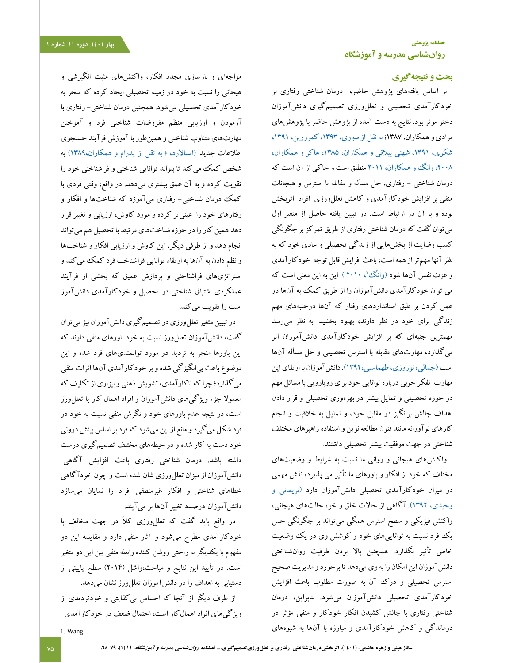## **بحث و نتیجهگیری**

بر اساس یافتههای پژوهش حاضر، درمان شناختی رفتاری بر خودکارآمدی تحصیلی و تعللورزی تصمیمگیری دانشآموزان دختر موثر بود. نتایج به دست آمده از پژوهش حاضر با پژوهشهای مرادی و همکاران، 1387[؛ به نقل از سوری، ،1393](#page-9-7) [کمرزرین، ،1391](#page-9-11) [شکری، ،1391](#page-9-10) [شهنی ییالقی و همکاران، ،1385](#page-9-12) [هاکر و همکاران،](#page-10-9)  [،2008](#page-10-9)[وانگ و همکاران، 2011](#page-11-2) منطبق است و حاکی از آن است که درمان شناختی - رفتاری، حل مسأله و مقابله با استرس و هیجانات منفی بر افزایش خودکارآمدی و کاهش تعللورزی افراد اثربخش بوده و با آن در ارتباط است. در تبیین یافته حاصل از متغیر اول میتوان گفت که درمان شناختی رفتاری از طریق تمرکز بر چگونگی کسب رضایت از بخشهایی از زندگی تحصیلی و عادی خود که به نظرآنها مهمترازهمهاست، باعث افزایش قابل توجه خودکارآمدی و عزت نفس آنها شود (وانگ '، ۲۰۱۰ ). این به این معنی است که می توان خودکارآمدی دانشآموزان را از طریق کمک به آنها در عمل کردن بر طبق استانداردهای رفتار که آنها درجنبههای مهم زندگی برای خود در نظر دارند، بهبود بخشید. به نظر میرسد مهمترین جنبهای که بر افزایش خودکارآمدی دانشآموزان اثر میگذارد، مهارتهای مقابله با استرس تحصیلی و حل مسأله آنها اس[ت \)جمالی، نوروزی، طهماسبی1392،\(.](#page-9-6) دانشآموزان با ارتقای این مهارت تفکر خوبی درباره توانایی خود برای رویارویی با مسائل مهم در حوزه تحصیلی و تمایل بیشتر در بهرهوری تحصیلی و قرار دادن اهداف چالش برانگیز در مقابل خود، و تمایل به خالقیت و انجام کارهای نوآورانه مانند فنون مطالعه نوین و استفاده راهبرهای مختلف شناختی در جهت موفقیت بیشتر تحصیلی داشتند.

واکنشهای هیجانی و روانی ما نسبت به شرایط و وضعیتهای مختلف که خود از افکار و باورهای ما تأثیر می پذیرد، نقش مهمی در میزان خودکارآمدی تحصیلی دانشآموزان دارد [\)نریمانی و](#page-9-8)  [وحیدی، 1392\(.](#page-9-8) آگاهی از حاالت خلق و خو، حالتهای هیجانی، واکنش فیزیکی و سطح استرس همگی میتواند بر چگونگی حس یک فرد نسبت به تواناییهای خود و کوشش وی در یک وضعیت خاص تأثیر بگذارد. همچنین باال بردن ظرفیت روانشناختی دانشآموزان این امکان را به وی میدهد تا برخورد و مدیریت صحیح استرس تحصیلی و درک آن به صورت مطلوب باعث افزایش خودکارآمدی تحصیلی دانشآموزان میشود. بنابراین، درمان شناختی رفتاری با چالش کشیدن افکار خودکار و منفی مؤثر در درماندگی و کاهش خودکارآمدی و مبارزه با آنها به شیوههای

مواجهای و بازسازی مجدد افکار، واکنشهای مثبت انگیزشی و هیجانی را نسبت به خود در زمینه تحصیلی ایجاد کرده که منجر به خودکارآمدی تحصیلی میشود. همچنین درمان شناختی- رفتاری با آزمودن و ارزیابی منظم مفروضات شناختی فرد و آموختن مهارتهای متناوب شناختی و همینطوربا آموزش فرآیند جستجوی اطلاعات ج[د](#page-9-13)ید (استالارد، ؛ به نقل از پدرام و همکاران،۱۳۸۹) به شخص کمک میکند تا بتواند توانایی شناختی و فراشناختی خود را تقویت کرده و به آن عمق بیشتری میدهد. در واقع، وقتی فردی با کمک درمان شناختی- رفتاری میآموزد که شناختها و افکار و رفتارهای خود را عینیتر کرده و مورد کاوش، ارزیابی و تغییر قرار دهد همین کار را در حوزه شناختهای مرتبط با تحصیل هم میتواند انجام دهد و از طرفی دیگر، این کاوش و ارزیابی افکار و شناختها و نظم دادن به آنها به ارتقاء توانایی فراشناخت فرد کمک میکند و استراتژیهای فراشناختی و پردازش عمیق که بخشی از فرآیند عملکردی اشتیاق شناختی در تحصیل و خودکارآمدی دانشآموز است را تقویت میکند.

در تبیین متغیر تعللورزی در تصمیمگیری دانشآموزان نیز میتوان گفت، دانش آموزان تعلل ورز نسبت به خود باورهای منفی دارند که این باورها منجر به تردید در مورد توانمندیهای فرد شده و این موضوع باعث بیانگیزگی شده و بر خودکارآمدی آنها اثرات منفی میگذارد؛ چرا که ناکارآمدی، تشویش ذهنی و بیزاری از تکلیف که معموال جزء ویژگیهای دانشآموزان و افراد اهمال کار یا تعللورز است، در نتیجه عدم باورهای خود و نگرش منفی نسبت به خود در فرد شکل میگیرد و مانع از این میشود که فرد بر اساس بینش درونی خود دست به کار شده و در حیطههای مختلف تصمیمگیری درست داشته باشد. درمان شناختی رفتاری باعث افزایش آگاهی دانشآموزان از میزان تعللورزی شان شده است و چون خودآگاهی خطاهای شناختی و افکار غیرمنطقی افراد را نمایان میسازد دانشآموزان درصدد تغییر آنها بر میآیند.

در واقع باید گفت که تعللورزی کالً در جهت مخالف با خودکارآمدی مطرح میشود و آثار منفی دارد و مقایسه این دو مفهوم با یکدیگر به راحتی روشن کننده رابطه منفی بین این دو متغیر است. در تأیید این نتایج و مباحث،واشل )2014( سطح پایینی از دستیابی به اهداف را در دانشآموزان تعللورز نشان میدهد.

از طرف دیگر از آنجا که احساس بیکفایتی و خودتردیدی از ویژگیهای افراد اهمالکار است، احتمال ضعف در خودکارآمدی 1. Wang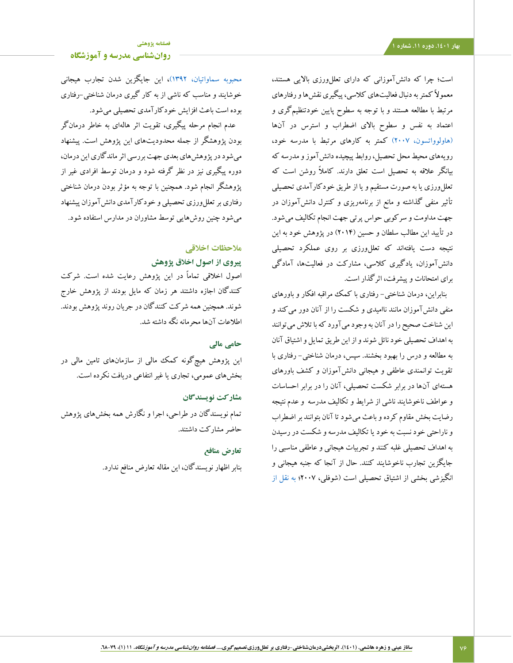است؛ چرا که دانش آموزانی که دارای تعلل ورزی بالایی هستند، معموالً کمتر به دنبال فعالیتهای کالسی، پیگیری نقشها و رفتارهای مرتبط با مطالعه هستند و با توجه به سطوح پایین خودتنظیمگری و اعتماد به نفس و سطوح باالی اضطراب و استرس در آنها [\)هاولوواتسون، 2007\(](#page-10-10) کمتر به کارهای مرتبط با مدرسه خود، رویههای محیط محل تحصیل، روابط پیچیده دانشآموز و مدرسه که بیانگر عالقه به تحصیل است تعلق دارند. کامالً روشن است که تعللورزی یا به صورت مستقیم و یا از طریق خودکارآمدی تحصیلی تأثیر منفی گذاشته و مانع از برنامهریزی و کنترل دانشآموزان در جهت مداومت و سرکوبی حواس پرتی جهت انجام تکالیف میشود. در تأیید این مطالب سلطان و حسین )2014( در پژوهش خود به این نتیجه دست یافتهاند که تعللورزی بر روی عملکرد تحصیلی دانشآموزان، یادگیری کالسی، مشارکت در فعالیتها، آمادگی برای امتحانات و پیشرفت، اثرگذار است.

بنابراین، درمان شناختی- رفتاری با کمک مراقبه افکار و باورهای منفی دانشآموزان مانند ناامیدی و شکست را از آنان دور میکند و این شناخت صحیح را در آنان به وجود میآورد که با تالش میتوانند به اهداف تحصیلی خود نائل شوند و از این طریق تمایل و اشتیاق آنان به مطالعه و درس را بهبود بخشند. سپس، درمان شناختی- رفتاری با تقویت توانمندی عاطفی و هیجانی دانشآموزان و کشف باورهای هستهای آنها در برابر شکست تحصیلی، آنان را در برابر احساسات و عواطف ناخوشایند ناشی از شرایط و تکالیف مدرسه و عدم نتیجه رضایت بخش مقاوم کرده و باعث میشود تا آنان بتوانند بر اضطراب و ناراحتی خود نسبت به خود یا تکالیف مدرسه و شکست در رسیدن به اهداف تحصیلی غلبه کنند و تجربیات هیجانی و عاطفی مناسبی را جایگزین تجارب ناخوشایند کنند. حال از آنجا که جنبه هیجانی و انگیزشی بخشی از اشتیاق تحصیلی است )شوفلی، 2007؛ [به نقل از](#page-9-14) 

## **[روانشناسی مدرسه و آموزشگاه](http://jsp.uma.ac.ir/)**

[محبوبه سماواتیان، 1392\(،](#page-9-14) این جایگزین شدن تجارب هیجانی خوشایند و مناسب که ناشی از به کار گیری درمان شناختی-رفتاری بوده است باعث افزایش خودکارآمدی تحصیلی میشود.

عدم انجام مرحله پیگیری، تقویت اثر هالهای به خاطر درمانگر بودن پژوهشگر از جمله محدودیتهای این پژوهش است. پیشنهاد میشود در پژوهشهای بعدی جهت بررسی اثر ماندگاری این درمان، دوره پیگیری نیز در نظر گرفته شود و درمان توسط افرادی غیر از پژوهشگر انجام شود. همچنین با توجه به مؤثر بودن درمان شناختی رفتاری بر تعللورزی تحصیلی و خودکارآمدی دانشآموزان پیشنهاد میشود چنین روشهایی توسط مشاوران در مدارس استفاده شود.

# **مالحظات اخالقی**

## **پیروی از اصول اخالق پژوهش**

اصول اخالقی تماماً در این پژوهش رعایت شده است. شرکت کنندگان اجازه داشتند هر زمان که مایل بودند از پژوهش خارج شوند. همچنین همه شرکت کنندگان در جریان روند پژوهش بودند. اطالعات آنها محرمانه نگه داشته شد.

## **حامی مالی**

این پژوهش هیچگونه کمک مالی از سازمانهای تامین مالی در بخشهای عمومی، تجاری یا غیر انتفاعی دریافت نکرده است.

## **مشارکت نویسندگان**

تمام نویسندگان در طراحی، اجرا و نگارش همه بخشهای پژوهش حاضر مشارکت داشتند.

## **تعارض منافع**

بنابر اظهار نویسندگان، این مقاله تعارض منافع ندارد.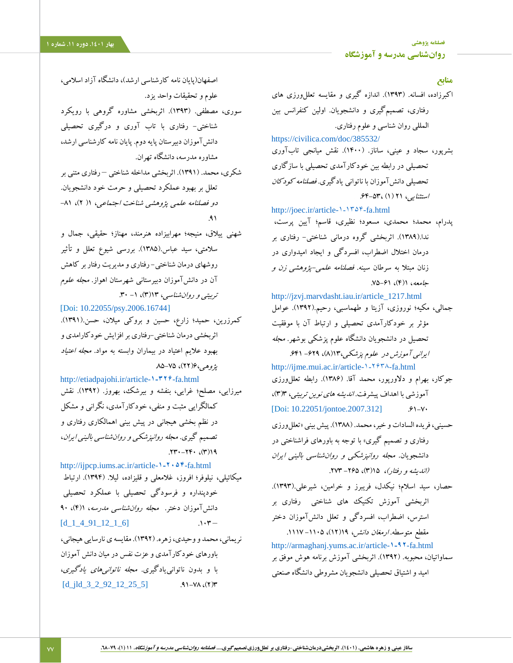l

<span id="page-9-13"></span><span id="page-9-5"></span><span id="page-9-4"></span>**منابع** اکبرزاده، افسانه. )1393(. اندازه گیری و مقایسه تعللورزی های رفتاری، تصمیمگیری و دانشجویان. اولین کنفرانس بین المللی روان شناسی و علوم رفتاری. <https://civilica.com/doc/385532/> بشرپور، سجاد و عینی، ساناز. )1400(. نقش میانجی تابآوری تحصیلی در رابطه بین خودکارآمدی تحصیلی با سازگاری تحصیلی دانشآموزان با ناتوانی یادگیری. فصلنامه کودکان استثنایی، 21 )1( .64-53، [http://joec.ir/article-۱-۱۳۵۴-fa.html](http://joec.ir/article-1-1354-fa.html) پدرام، محمد؛ محمدی، مسعود؛ نظیری، قاسم؛ آیین پرست، ندا.)1389(. اثربخشی گروه درمانی شناختی- رفتاری بر درمان اختالل اضطراب، افسردگی و ایجاد امیدواری در زنان مبتال به سرطان سینه. فصلنامه علمی-پژوهشی زن و جامعه، ۶۱(۴)، ۶۱-۷۵. [http://jzvj.marvdasht.iau.ir/article\\_1217.html](http://jzvj.marvdasht.iau.ir/article_1217.html) جمالی، مکیه؛ نوروزی، آزیتا و طهماسبی، رحیم.)1392(. عوامل مؤثر بر خودکارآمدی تحصیلی و ارتباط آن با موفقیت تحصیل در دانشجویان دانشگاه علوم پزشکی بوشهر. مجله ایرانی آموزش در علوم پزشکی،۱۳(۸)، ۶۴۹- ۶۲۹. [http://ijme.mui.ac.ir/article-۱-۲۶۳۸-fa.html](http://ijme.mui.ac.ir/article-1-2638-fa.html) جوکار، بهرام و دلاورپور، محمد آقا. (۱۳۸۶). رابطه تعلل ورزی آموزشی با اهداف پیشرفت. *اندیشه های نوین تربیتی،* ۳)۳)،  $[Doi: 10.22051/jontoe.2007.312]$  $[Doi: 10.22051/jontoe.2007.312]$  .61-Y حسینی، فریده السادات و خیر، محمد. )1388(. پیشبینی »تعللورزی رفتاری و تصمیم گیری» با توجه به باورهای فراشناختی در دانشجویان. مجله روانپزشکی <sup>و</sup> روانشناسی بالینی ایران (اندیشه و رفتار)، ۲۶۵–۲۷۳–۲۷۳. حصار، سید اسالم؛ نیکدل، فریبرز و خرامین، شیرعلی.)1393(. اثربخشی آموزش تکنیک های شناختی رفتاری بر

<span id="page-9-14"></span>مقطع متوسطه. *ارمغان دانش، ۱۹(۱۲*)، ۱۱۱۵– ۱۱۱۷. [http://armaghanj.yums.ac.ir/article-](http://armaghanj.yums.ac.ir/article-1-92-fa.html)**۱-۹۲**-fa.html سماواتیان، محبوبه. )1392(. اثربخشی آموزش برنامه هوش موفق بر امید و اشتیاق تحصیلی دانشجویان مشروطی دانشگاه صنعتی

<span id="page-9-9"></span><span id="page-9-2"></span><span id="page-9-1"></span>استرس، اضطراب، افسردگی و تعلل دانشآموزان دختر

اصفهان(پایان نامه کارشناسی ارشد)، دانشگاه آزاد اسلامی، علوم و تحقیقات واحد یزد.

- <span id="page-9-7"></span>سوری، مصطفی. )1393(. اثربخشی مشاوره گروهی با رویکرد شناختی- رفتاری با تاب آوری و درگیری تحصیلی دانش آموزان دبیرستان پایه دوم. پایان نامه کارشناسی ارشد، مشاوره مدرسه، دانشگاه تهران.
- <span id="page-9-10"></span>شکری، محمد. )1391(. اثربخشی مداخله شناختی – رفتاری متنی بر تعلل بر بهبود عملکرد تحصیلی و حرمت خود دانشجویان. دو فصلنامه علمی پژوهشی شناخت اجتماعی، 1) 2(، -81 .91
- <span id="page-9-12"></span>شهنی ییالق، منیجه؛ مهرابیزاده هنرمند، مهناز؛ حقیقی، جمال و سالمتی، سید عباس.)1385(. بررسی شیوع تعلل و تأثیر روشهای درمان شناختی- رفتاری ومدیریت رفتاربر کاهش آن در دانشآموزان دبیرستانی شهرستان اهواز. مجله علوم تربیتی *و روان شناسی*، ۱۳(۳)، ۱- ۳۰.

<span id="page-9-11"></span><span id="page-9-6"></span>[Doi[: 10.22055/psy.2006.16744\]](file:///C:/Users/AliSalmaniPsychology/OneDrive/دسکتاپ/مقاله%20های%20اساتید/مقالات%20مجله%20روانشناسی%20مدرسه/Spring%20Edit%201401/10.22055/psy.2006.16744) کمرزرین، حمید؛ زارع، حسین و بروکی میالن، حسن.)1391(. اثربخشی درمان شناختی-رفتاری برافزایش خودکارامدی و بهبود عالیم اعتیاد در بیماران وابسته به مواد. مجله اعتیاد پژوه<sub>ی،</sub>۶(۲۲)، ۷۵–۸۵

<span id="page-9-3"></span>[http://etiadpajohi.ir/article-](http://etiadpajohi.ir/article-1-326-fa.html)**۱-۳۲۶**-fa.html میرزایی، مصلح؛ غرایی، بنفشه و بیرشک، بهروز. )1392(. نقش کمالگرایی مثبت و منفی، خودکارآمدی، نگرانی و مشکل در نظم بخشی هیجانی در پیش بینی اهمالکاری رفتاری و تصمیم گیری. مجله روانپزشکی <sup>و</sup> روانشناسی بالینی ایران،  $.71 - 79 - (19)$ 

<span id="page-9-0"></span>[http://ijpcp.iums.ac.ir/article-](http://ijpcp.iums.ac.ir/article-1-2054-fa.html)**۱-۲۰۵۴**-fa.html میکائیلی، نیلوفر؛ افروز، غالمعلی و قلیزاده، لیال. )1394(. ارتباط خودپنداره و فرسودگی تحصیلی با عملکرد تحصیلی دانش آموزان دختر. مج*له روان شناسی مدرسه*، ۹۰(۴)  $[d_1 4_91_1 2_1_6]$  .1.7

<span id="page-9-8"></span>نریمانی، محمد و وحیدی، زهره. (۱۳۹۲). مقایسه ی نارسایی هیجانی، باورهای خودکارآمدی وعزت نفس درمیان دانش آموزان با و بدون ناتوانییادگیری. مجله ناتوانیهای یادگیری،  $[d_j]d_3_2_92_12_25_5]$  .91-YA  $(3)$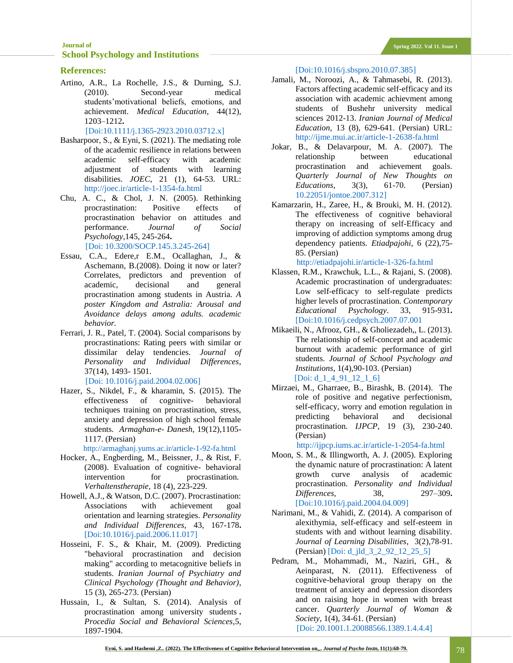## **[Journal of](http://jsp.uma.ac.ir/) Spring 2022. Vol 11. Issue 1 [School Psychology](http://jsp.uma.ac.ir/) and Institutions**

### **References:**

<span id="page-10-8"></span>Artino, A.R., La Rochelle, J.S., & Durning, S.J. (2010). Second-year medical students'motivational beliefs, emotions, and achievement. *Medical Education*, 44(12), 1203–1212**.**

[Doi[:10.1111/j.1365-2923.2010.03712.x\]](https://doi.org/10.1111/j.1365-2923.2010.03712.x)

- Basharpoor, S., & Eyni, S. (2021). The mediating role of the academic resilience in relations between academic self-efficacy with academic adjustment of students with learning disabilities. *JOEC*, 21 (1), 64-53. URL: <http://joec.ir/article-1-1354-fa.html>
- <span id="page-10-5"></span>Chu, A. C., & Chol, J. N. (2005). Rethinking procrastination: Positive effects of procrastination behavior on attitudes and performance. *Journal of Social Psychology*,145, 245-264**.** [Doi[: 10.3200/SOCP.145.3.245-264\]](http://dx.doi.org/10.3200/SOCP.145.3.245-264)
- <span id="page-10-7"></span>Essau, C.A., Edere,r E.M., Ocallaghan, J., & Aschemann, B.(2008). Doing it now or later? Correlates, predictors and prevention of academic, decisional and general procrastination among students in Austria. *A poster Kingdom and Astralia: Arousal and Avoidance delays among adults. academic behavior.*
- <span id="page-10-0"></span>Ferrari, J. R., Patel, T. (2004). Social comparisons by procrastinations: Rating peers with similar or dissimilar delay tendencies. *Journal of Personality and Individual Differences*, 37(14), 1493- 1501. [\[Doi: 10.1016/j.paid.2004.02.006\]](https://doi.org/10.1016/j.paid.2004.02.006)
- Hazer, S., Nikdel, F., & kharamin, S. (2015). The effectiveness of cognitive- behavioral techniques training on procrastination, stress, anxiety and depression of high school female students. *Armaghan-e- Danesh*, 19(12),1105- 1117. (Persian)

<http://armaghanj.yums.ac.ir/article-1-92-fa.html>

- <span id="page-10-9"></span>Hocker, A., Engberding, M., Beissner, J., & Rist, F. (2008). Evaluation of cognitive- behavioral intervention for procrastination. *Verhaltenstherapie*, 18 (4), 223-229.
- <span id="page-10-10"></span>Howell, A.J., & Watson, D.C. (2007). Procrastination: Associations with achievement goal orientation and learning strategies. *Personality and Individual Differences*, 43, 167-178**.** [\[Doi:10.1016/j.paid.2006.11.017\]](https://doi.org/10.1016/j.paid.2006.11.017)
- <span id="page-10-1"></span>Hosseini, F. S., & Khair, M. (2009). Predicting "behavioral procrastination and decision making" according to metacognitive beliefs in students. *Iranian Journal of Psychiatry and Clinical Psychology (Thought and Behavior)*, 15 (3), 265-273. (Persian)
- Hussain, I., & Sultan, S. (2014). Analysis of procrastination among university students **.** *Procedia Social and Behavioral Sciences*,5, 1897-1904.

[\[Doi:10.1016/j.sbspro.2010.07.385\]](https://doi.org/10.1016/j.sbspro.2010.07.385)

- <span id="page-10-4"></span>Jamali, M., Noroozi, A., & Tahmasebi, R. (2013). Factors affecting academic self-efficacy and its association with academic achievment among students of Bushehr university medical sciences 2012-13. *Iranian Journal of Medical Education*, 13 (8), 629-641. (Persian) URL: <http://ijme.mui.ac.ir/article-1-2638-fa.html>
- <span id="page-10-3"></span>Jokar, B., & Delavarpour, M. A. (2007). The relationship between educational procrastination and achievement goals. *Quarterly Journal of New Thoughts on Educations*, 3(3), 61-70. (Persian) [10.22051/jontoe.2007.312\]](10.22051/jontoe.2007.312)
- Kamarzarin, H., Zaree, H., & Brouki, M. H. (2012). The effectiveness of cognitive behavioral therapy on increasing of self-Efficacy and improving of addiction symptoms among drug dependency patients. *Etiadpajohi*, 6 (22),75- 85. (Persian)

<http://etiadpajohi.ir/article-1-326-fa.html>

- <span id="page-10-2"></span>Klassen, R.M., Krawchuk, L.L., & Rajani, S. (2008). Academic procrastination of undergraduates: Low self-efficacy to self-regulate predicts higher levels of procrastination. *Contemporary Educational Psychology*. 33, 915-931**.** [\[Doi:10.1016/j.cedpsych.2007.07.001](https://doi.org/10.1016/j.cedpsych.2007.07.001)
- Mikaeili, N., Afrooz, GH., & Gholiezadeh,, L. (2013). The relationship of self-concept and academic burnout with academic performance of girl students. *Journal of School Psychology and Institutions*, 1(4),90-103. (Persian) [Doi: <u>d</u>\_1\_4\_91\_12\_1\_6]
- Mirzaei, M., Gharraee, B., Birashk, B. (2014). The role of positive and negative perfectionism, self-efficacy, worry and emotion regulation in predicting behavioral and decisional procrastination. *IJPCP*, 19 (3), 230-240. (Persian)

<http://ijpcp.iums.ac.ir/article-1-2054-fa.html>

- <span id="page-10-6"></span>Moon, S. M., & Illingworth, A. J. (2005). Exploring the dynamic nature of procrastination: A latent growth curve analysis of academic procrastination. *Personality and Individual Differences*, 38, 297–309**.** [\[Doi:10.1016/j.paid.2004.04.009\]](https://doi.org/10.1016/j.paid.2004.04.009)
- Narimani, M., & Vahidi, Z. (2014). A comparison of alexithymia, self-efficacy and self-esteem in students with and without learning disability. *Journal of Learning Disabilities*, 3(2),78-91. (Persian) [Doi: [d\\_jld\\_3\\_2\\_92\\_12\\_25\\_5\]](d_jld_3_2_92_12_25_5)
- Pedram, M., Mohammadi, M., Naziri, GH., & Aeinparast, N. (2011). Effectiveness of cognitive-behavioral group therapy on the treatment of anxiety and depression disorders and on raising hope in women with breast cancer. *Quarterly Journal of Woman & Society*, 1(4), 34-61. (Persian) [Doi[: 20.1001.1.20088566.1389.1.4.4.4\]](https://dorl.net/dor/20.1001.1.20088566.1389.1.4.4.4)